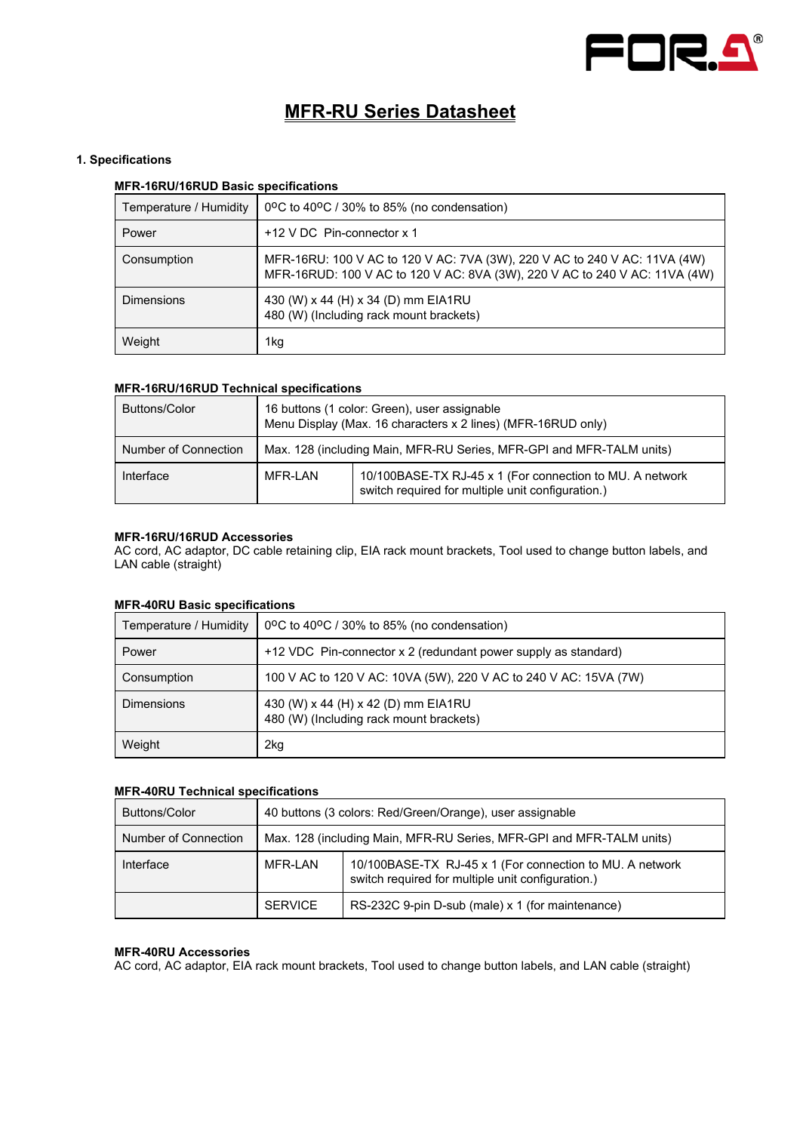

# **MFR-RU Series Datasheet**

# **1. Specifications**

#### **MFR-16RU/16RUD Basic specifications**

| Temperature / Humidity | 0 <sup>o</sup> C to 40 <sup>o</sup> C / 30% to 85% (no condensation)                                                                                    |  |  |
|------------------------|---------------------------------------------------------------------------------------------------------------------------------------------------------|--|--|
| Power                  | +12 V DC Pin-connector x 1                                                                                                                              |  |  |
| Consumption            | MFR-16RU: 100 V AC to 120 V AC: 7VA (3W), 220 V AC to 240 V AC: 11VA (4W)<br>MFR-16RUD: 100 V AC to 120 V AC: 8VA (3W), 220 V AC to 240 V AC: 11VA (4W) |  |  |
| <b>Dimensions</b>      | 430 (W) x 44 (H) x 34 (D) mm EIA1RU<br>480 (W) (Including rack mount brackets)                                                                          |  |  |
| Weight                 | 1kg                                                                                                                                                     |  |  |

#### **MFR-16RU/16RUD Technical specifications**

| Buttons/Color        | 16 buttons (1 color: Green), user assignable<br>Menu Display (Max. 16 characters x 2 lines) (MFR-16RUD only) |                                                                                                               |  |
|----------------------|--------------------------------------------------------------------------------------------------------------|---------------------------------------------------------------------------------------------------------------|--|
| Number of Connection | Max. 128 (including Main, MFR-RU Series, MFR-GPI and MFR-TALM units)                                         |                                                                                                               |  |
| Interface            | MFR-LAN                                                                                                      | 10/100BASE-TX RJ-45 x 1 (For connection to MU. A network<br>switch required for multiple unit configuration.) |  |

#### **MFR-16RU/16RUD Accessories**

AC cord, AC adaptor, DC cable retaining clip, EIA rack mount brackets, Tool used to change button labels, and LAN cable (straight)

#### **MFR-40RU Basic specifications**

| Temperature / Humidity | 0 <sup>o</sup> C to 40 <sup>o</sup> C / 30% to 85% (no condensation)           |  |
|------------------------|--------------------------------------------------------------------------------|--|
| Power                  | +12 VDC Pin-connector x 2 (redundant power supply as standard)                 |  |
| Consumption            | 100 V AC to 120 V AC: 10VA (5W), 220 V AC to 240 V AC: 15VA (7W)               |  |
| <b>Dimensions</b>      | 430 (W) x 44 (H) x 42 (D) mm EIA1RU<br>480 (W) (Including rack mount brackets) |  |
| Weight                 | 2kg                                                                            |  |

#### **MFR-40RU Technical specifications**

| Buttons/Color        | 40 buttons (3 colors: Red/Green/Orange), user assignable             |                                                                                                               |  |
|----------------------|----------------------------------------------------------------------|---------------------------------------------------------------------------------------------------------------|--|
| Number of Connection | Max. 128 (including Main, MFR-RU Series, MFR-GPI and MFR-TALM units) |                                                                                                               |  |
| Interface            | MFR-LAN                                                              | 10/100BASE-TX RJ-45 x 1 (For connection to MU. A network<br>switch required for multiple unit configuration.) |  |
|                      | <b>SERVICE</b>                                                       | RS-232C 9-pin D-sub (male) x 1 (for maintenance)                                                              |  |

#### **MFR-40RU Accessories**

AC cord, AC adaptor, EIA rack mount brackets, Tool used to change button labels, and LAN cable (straight)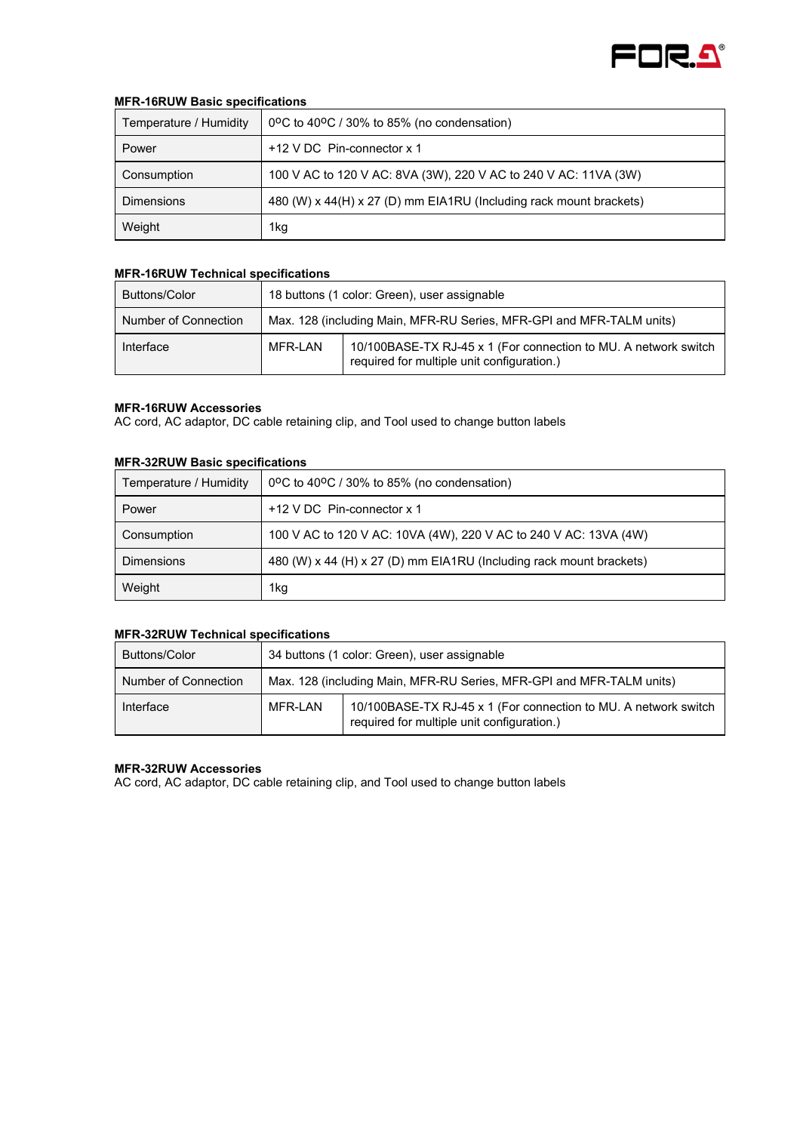

### **MFR-16RUW Basic specifications**

| Temperature / Humidity | 0°C to 40°C / 30% to 85% (no condensation)                         |  |  |
|------------------------|--------------------------------------------------------------------|--|--|
| Power                  | +12 V DC Pin-connector x 1                                         |  |  |
| Consumption            | 100 V AC to 120 V AC: 8VA (3W), 220 V AC to 240 V AC: 11VA (3W)    |  |  |
| <b>Dimensions</b>      | 480 (W) x 44(H) x 27 (D) mm EIA1RU (Including rack mount brackets) |  |  |
| Weight                 | 1kg                                                                |  |  |

# **MFR-16RUW Technical specifications**

| Buttons/Color        | 18 buttons (1 color: Green), user assignable                         |                                                                                                               |  |
|----------------------|----------------------------------------------------------------------|---------------------------------------------------------------------------------------------------------------|--|
| Number of Connection | Max. 128 (including Main, MFR-RU Series, MFR-GPI and MFR-TALM units) |                                                                                                               |  |
| Interface            | MFR-LAN                                                              | 10/100BASE-TX RJ-45 x 1 (For connection to MU. A network switch<br>required for multiple unit configuration.) |  |

# **MFR-16RUW Accessories**

AC cord, AC adaptor, DC cable retaining clip, and Tool used to change button labels

| <b>MER-34RUW DASIC SPECINCATIONS</b> |                                                                     |  |  |
|--------------------------------------|---------------------------------------------------------------------|--|--|
| Temperature / Humidity               | 0 $\degree$ C to 40 $\degree$ C / 30% to 85% (no condensation)      |  |  |
| Power                                | +12 V DC Pin-connector x 1                                          |  |  |
| Consumption                          | 100 V AC to 120 V AC: 10VA (4W), 220 V AC to 240 V AC: 13VA (4W)    |  |  |
| <b>Dimensions</b>                    | 480 (W) x 44 (H) x 27 (D) mm EIA1RU (Including rack mount brackets) |  |  |
| Weight                               | 1kg                                                                 |  |  |

# **MFR-32RUW Basic specifications**

### **MFR-32RUW Technical specifications**

| Buttons/Color        | 34 buttons (1 color: Green), user assignable                         |                                                                                                               |  |
|----------------------|----------------------------------------------------------------------|---------------------------------------------------------------------------------------------------------------|--|
| Number of Connection | Max. 128 (including Main, MFR-RU Series, MFR-GPI and MFR-TALM units) |                                                                                                               |  |
| Interface            | MFR-LAN                                                              | 10/100BASE-TX RJ-45 x 1 (For connection to MU. A network switch<br>required for multiple unit configuration.) |  |

#### **MFR-32RUW Accessories**

AC cord, AC adaptor, DC cable retaining clip, and Tool used to change button labels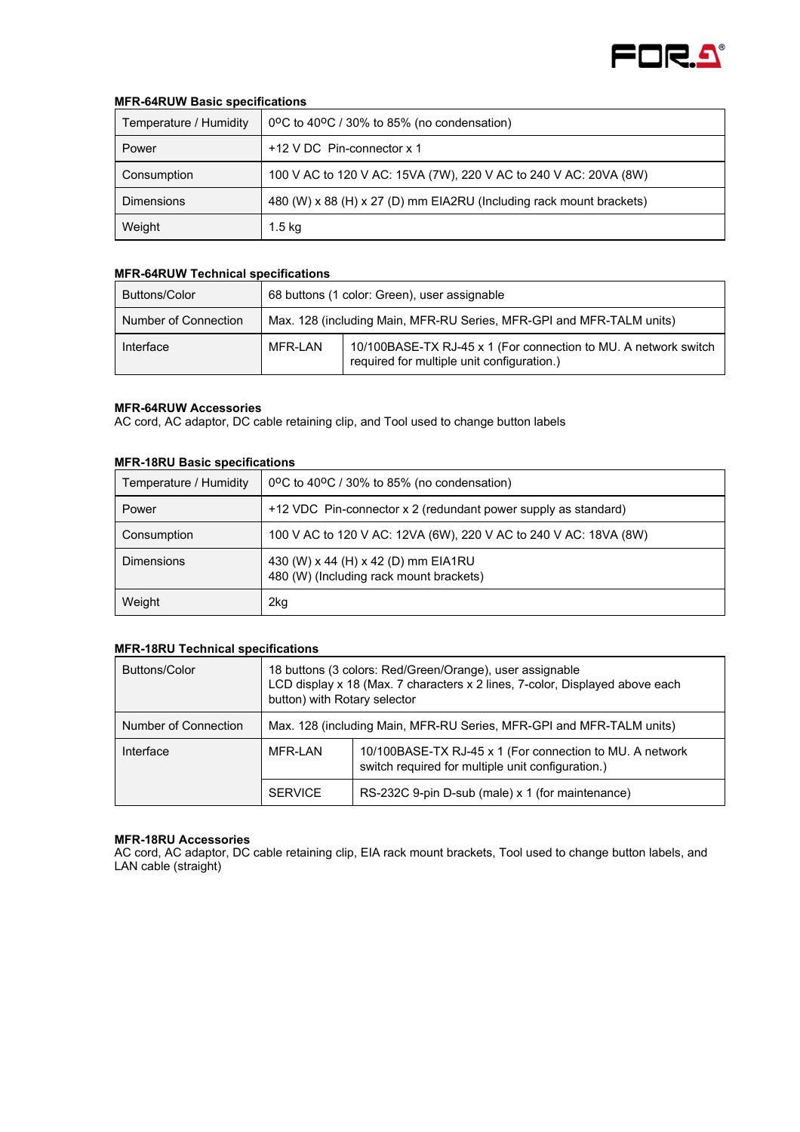

### **MFR-64RUW Basic specifications**

| Temperature / Humidity | 0°C to 40°C / 30% to 85% (no condensation)                          |  |  |
|------------------------|---------------------------------------------------------------------|--|--|
| Power                  | +12 V DC Pin-connector x 1                                          |  |  |
| Consumption            | 100 V AC to 120 V AC: 15VA (7W), 220 V AC to 240 V AC: 20VA (8W)    |  |  |
| <b>Dimensions</b>      | 480 (W) x 88 (H) x 27 (D) mm EIA2RU (Including rack mount brackets) |  |  |
| Weight                 | $1.5 \text{ kg}$                                                    |  |  |

# **MFR-64RUW Technical specifications**

| Buttons/Color        | 68 buttons (1 color: Green), user assignable                         |                                                                                                               |  |
|----------------------|----------------------------------------------------------------------|---------------------------------------------------------------------------------------------------------------|--|
| Number of Connection | Max. 128 (including Main, MFR-RU Series, MFR-GPI and MFR-TALM units) |                                                                                                               |  |
| Interface            | MFR-LAN                                                              | 10/100BASE-TX RJ-45 x 1 (For connection to MU. A network switch<br>required for multiple unit configuration.) |  |

#### **MFR-64RUW Accessories**

AC cord, AC adaptor, DC cable retaining clip, and Tool used to change button labels

| <b>MER-TORU DASIC SPECIFICATIONS</b> |                                                                                |  |  |
|--------------------------------------|--------------------------------------------------------------------------------|--|--|
| Temperature / Humidity               | 0 <sup>o</sup> C to 40 <sup>o</sup> C / 30% to 85% (no condensation)           |  |  |
| Power                                | +12 VDC Pin-connector x 2 (redundant power supply as standard)                 |  |  |
| Consumption                          | 100 V AC to 120 V AC: 12VA (6W), 220 V AC to 240 V AC: 18VA (8W)               |  |  |
| <b>Dimensions</b>                    | 430 (W) x 44 (H) x 42 (D) mm EIA1RU<br>480 (W) (Including rack mount brackets) |  |  |
| Weight                               | 2kg                                                                            |  |  |

### **MFR-18RU Basic specifications**

### **MFR-18RU Technical specifications**

| Buttons/Color        | 18 buttons (3 colors: Red/Green/Orange), user assignable<br>LCD display x 18 (Max. 7 characters x 2 lines, 7-color, Displayed above each<br>button) with Rotary selector |                                                                                                               |
|----------------------|--------------------------------------------------------------------------------------------------------------------------------------------------------------------------|---------------------------------------------------------------------------------------------------------------|
| Number of Connection | Max. 128 (including Main, MFR-RU Series, MFR-GPI and MFR-TALM units)                                                                                                     |                                                                                                               |
| Interface            | MFR-LAN                                                                                                                                                                  | 10/100BASE-TX RJ-45 x 1 (For connection to MU. A network<br>switch required for multiple unit configuration.) |
|                      | <b>SERVICE</b>                                                                                                                                                           | RS-232C 9-pin D-sub (male) x 1 (for maintenance)                                                              |

# **MFR-18RU Accessories**

AC cord, AC adaptor, DC cable retaining clip, EIA rack mount brackets, Tool used to change button labels, and LAN cable (straight)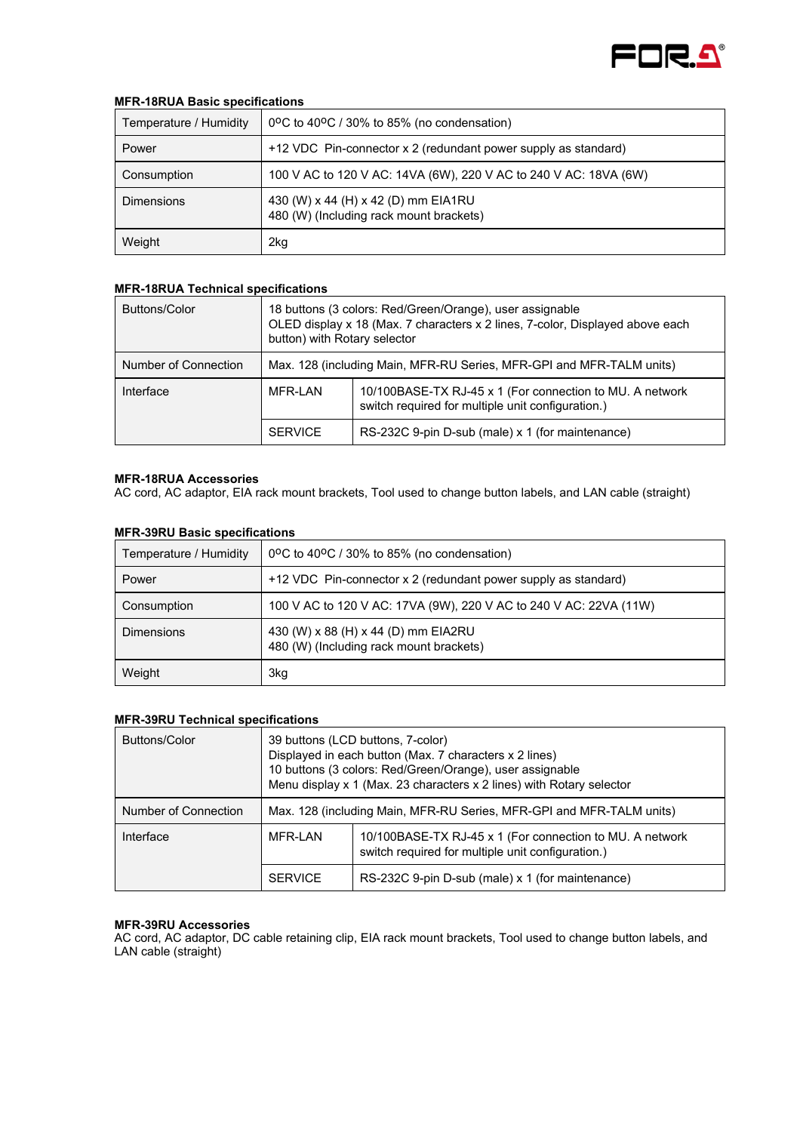

#### **MFR-18RUA Basic specifications**

| Temperature / Humidity | 0 <sup>o</sup> C to 40 <sup>o</sup> C / 30% to 85% (no condensation)           |  |
|------------------------|--------------------------------------------------------------------------------|--|
| Power                  | +12 VDC Pin-connector x 2 (redundant power supply as standard)                 |  |
| Consumption            | 100 V AC to 120 V AC: 14VA (6W), 220 V AC to 240 V AC: 18VA (6W)               |  |
| <b>Dimensions</b>      | 430 (W) x 44 (H) x 42 (D) mm EIA1RU<br>480 (W) (Including rack mount brackets) |  |
| Weight                 | 2kg                                                                            |  |

### **MFR-18RUA Technical specifications**

| Buttons/Color        | 18 buttons (3 colors: Red/Green/Orange), user assignable<br>OLED display x 18 (Max. 7 characters x 2 lines, 7-color, Displayed above each<br>button) with Rotary selector |                                                                                                               |
|----------------------|---------------------------------------------------------------------------------------------------------------------------------------------------------------------------|---------------------------------------------------------------------------------------------------------------|
| Number of Connection | Max. 128 (including Main, MFR-RU Series, MFR-GPI and MFR-TALM units)                                                                                                      |                                                                                                               |
| Interface            | MFR-LAN                                                                                                                                                                   | 10/100BASE-TX RJ-45 x 1 (For connection to MU. A network<br>switch required for multiple unit configuration.) |
|                      | <b>SERVICE</b>                                                                                                                                                            | RS-232C 9-pin D-sub (male) x 1 (for maintenance)                                                              |

#### **MFR-18RUA Accessories**

AC cord, AC adaptor, EIA rack mount brackets, Tool used to change button labels, and LAN cable (straight)

| Temperature / Humidity | 0°C to 40°C / 30% to 85% (no condensation)                                     |
|------------------------|--------------------------------------------------------------------------------|
| Power                  | +12 VDC Pin-connector x 2 (redundant power supply as standard)                 |
| Consumption            | 100 V AC to 120 V AC: 17VA (9W), 220 V AC to 240 V AC: 22VA (11W)              |
| <b>Dimensions</b>      | 430 (W) x 88 (H) x 44 (D) mm EIA2RU<br>480 (W) (Including rack mount brackets) |
| Weight                 | 3kg                                                                            |

### **MFR-39RU Basic specifications**

#### **MFR-39RU Technical specifications**

| Buttons/Color        | 39 buttons (LCD buttons, 7-color)<br>Displayed in each button (Max. 7 characters x 2 lines)<br>10 buttons (3 colors: Red/Green/Orange), user assignable<br>Menu display x 1 (Max. 23 characters x 2 lines) with Rotary selector |                                                                                                               |
|----------------------|---------------------------------------------------------------------------------------------------------------------------------------------------------------------------------------------------------------------------------|---------------------------------------------------------------------------------------------------------------|
| Number of Connection | Max. 128 (including Main, MFR-RU Series, MFR-GPI and MFR-TALM units)                                                                                                                                                            |                                                                                                               |
| Interface            | MFR-LAN                                                                                                                                                                                                                         | 10/100BASE-TX RJ-45 x 1 (For connection to MU. A network<br>switch required for multiple unit configuration.) |
|                      | <b>SERVICE</b>                                                                                                                                                                                                                  | RS-232C 9-pin D-sub (male) x 1 (for maintenance)                                                              |

#### **MFR-39RU Accessories**

AC cord, AC adaptor, DC cable retaining clip, EIA rack mount brackets, Tool used to change button labels, and LAN cable (straight)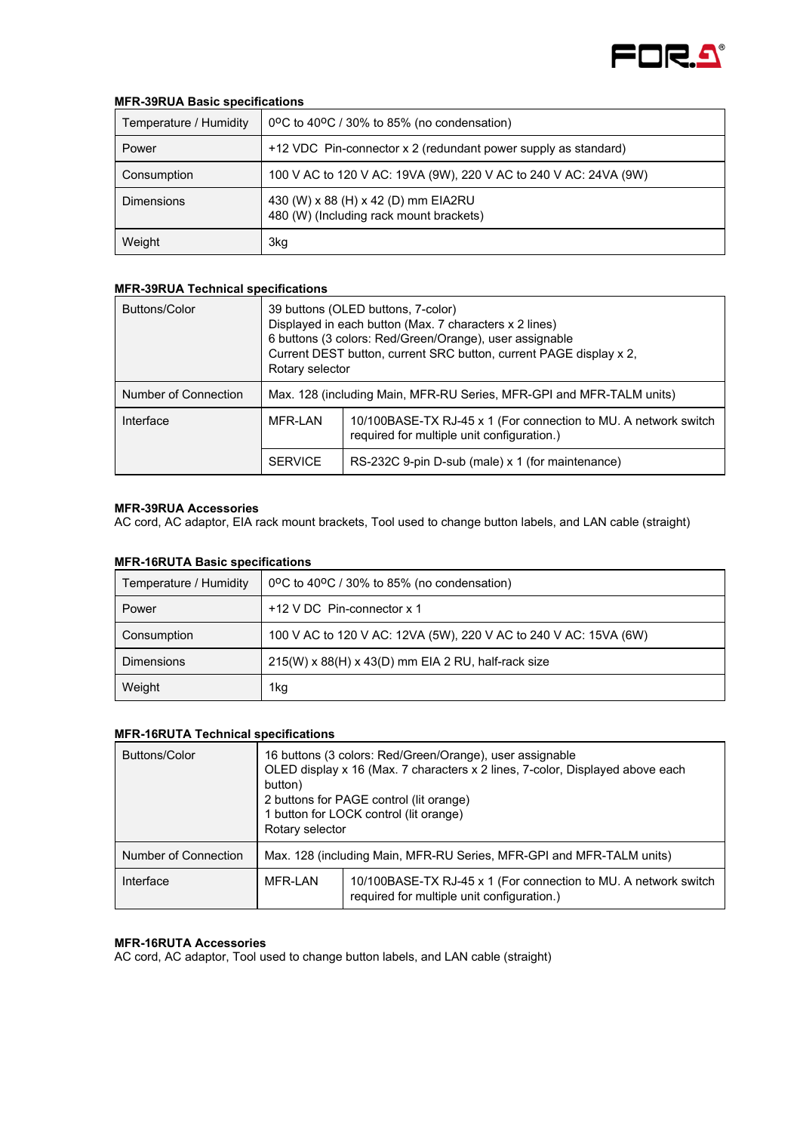

#### **MFR-39RUA Basic specifications**

| Temperature / Humidity | 0°C to 40°C / 30% to 85% (no condensation)                                     |  |
|------------------------|--------------------------------------------------------------------------------|--|
| Power                  | +12 VDC Pin-connector x 2 (redundant power supply as standard)                 |  |
| Consumption            | 100 V AC to 120 V AC: 19VA (9W), 220 V AC to 240 V AC: 24VA (9W)               |  |
| <b>Dimensions</b>      | 430 (W) x 88 (H) x 42 (D) mm EIA2RU<br>480 (W) (Including rack mount brackets) |  |
| Weight                 | 3kg                                                                            |  |

#### **MFR-39RUA Technical specifications**

| Buttons/Color        | 39 buttons (OLED buttons, 7-color)<br>Displayed in each button (Max. 7 characters x 2 lines)<br>6 buttons (3 colors: Red/Green/Orange), user assignable<br>Current DEST button, current SRC button, current PAGE display x 2,<br>Rotary selector |                                                                                                               |
|----------------------|--------------------------------------------------------------------------------------------------------------------------------------------------------------------------------------------------------------------------------------------------|---------------------------------------------------------------------------------------------------------------|
| Number of Connection | Max. 128 (including Main, MFR-RU Series, MFR-GPI and MFR-TALM units)                                                                                                                                                                             |                                                                                                               |
| Interface            | MFR-LAN                                                                                                                                                                                                                                          | 10/100BASE-TX RJ-45 x 1 (For connection to MU. A network switch<br>required for multiple unit configuration.) |
|                      | <b>SFRVICE</b>                                                                                                                                                                                                                                   | RS-232C 9-pin D-sub (male) x 1 (for maintenance)                                                              |

### **MFR-39RUA Accessories**

AC cord, AC adaptor, EIA rack mount brackets, Tool used to change button labels, and LAN cable (straight)

| <b>MFR-16RUTA Basic specifications</b> |                                                                  |  |
|----------------------------------------|------------------------------------------------------------------|--|
| Temperature / Humidity                 | 0°C to 40°C / 30% to 85% (no condensation)                       |  |
| Power                                  | +12 V DC Pin-connector x 1                                       |  |
| Consumption                            | 100 V AC to 120 V AC: 12VA (5W), 220 V AC to 240 V AC: 15VA (6W) |  |
| <b>Dimensions</b>                      | 215(W) x 88(H) x 43(D) mm EIA 2 RU, half-rack size               |  |
| Weight                                 | 1kg                                                              |  |

# **MFR-16RUTA Technical specifications**

| <b>Buttons/Color</b> | 16 buttons (3 colors: Red/Green/Orange), user assignable<br>OLED display x 16 (Max. 7 characters x 2 lines, 7-color, Displayed above each<br>button)<br>2 buttons for PAGE control (lit orange)<br>1 button for LOCK control (lit orange)<br>Rotary selector |                                                                                                               |
|----------------------|--------------------------------------------------------------------------------------------------------------------------------------------------------------------------------------------------------------------------------------------------------------|---------------------------------------------------------------------------------------------------------------|
| Number of Connection | Max. 128 (including Main, MFR-RU Series, MFR-GPI and MFR-TALM units)                                                                                                                                                                                         |                                                                                                               |
| Interface            | MFR-LAN                                                                                                                                                                                                                                                      | 10/100BASE-TX RJ-45 x 1 (For connection to MU. A network switch<br>required for multiple unit configuration.) |

#### **MFR-16RUTA Accessories**

AC cord, AC adaptor, Tool used to change button labels, and LAN cable (straight)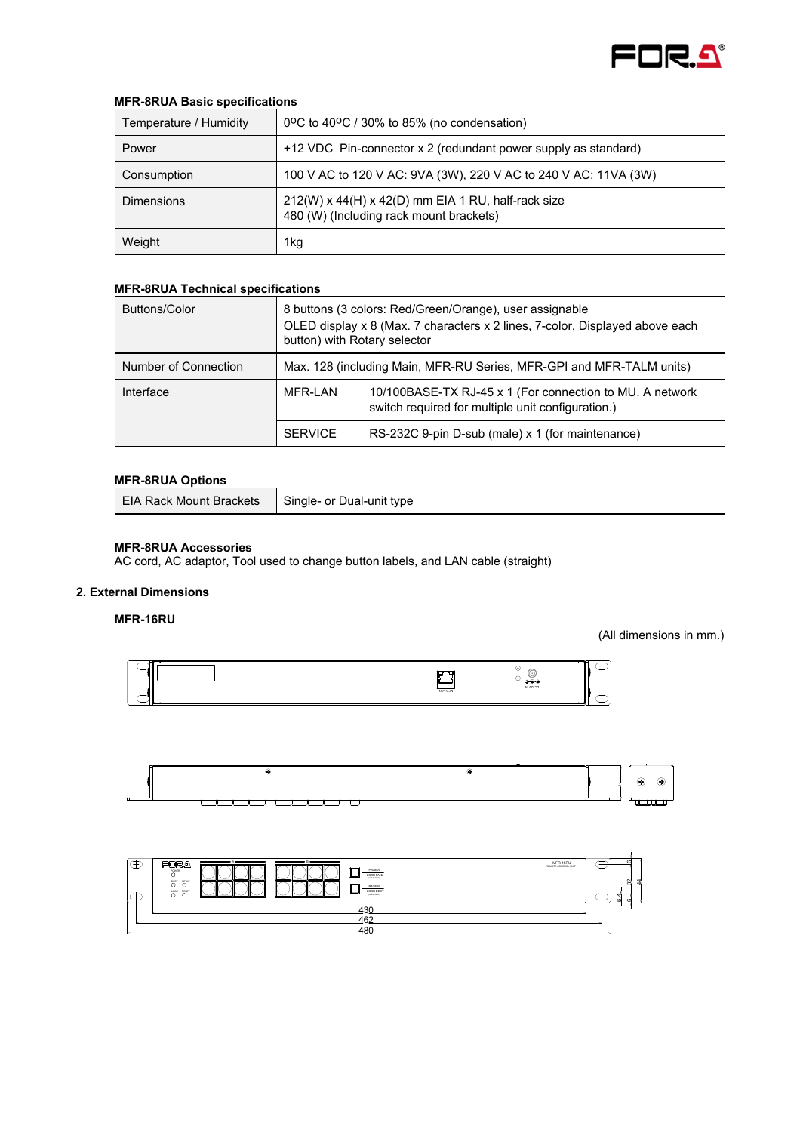

### **MFR-8RUA Basic specifications**

| Temperature / Humidity | 0°C to 40°C / 30% to 85% (no condensation)                                                    |  |
|------------------------|-----------------------------------------------------------------------------------------------|--|
| Power                  | +12 VDC Pin-connector x 2 (redundant power supply as standard)                                |  |
| Consumption            | 100 V AC to 120 V AC: 9VA (3W), 220 V AC to 240 V AC: 11VA (3W)                               |  |
| <b>Dimensions</b>      | 212(W) x 44(H) x 42(D) mm EIA 1 RU, half-rack size<br>480 (W) (Including rack mount brackets) |  |
| Weight                 | 1kg                                                                                           |  |

# **MFR-8RUA Technical specifications**

| <b>Buttons/Color</b> | 8 buttons (3 colors: Red/Green/Orange), user assignable<br>OLED display x 8 (Max. 7 characters x 2 lines, 7-color, Displayed above each<br>button) with Rotary selector |                                                                                                               |
|----------------------|-------------------------------------------------------------------------------------------------------------------------------------------------------------------------|---------------------------------------------------------------------------------------------------------------|
| Number of Connection | Max. 128 (including Main, MFR-RU Series, MFR-GPI and MFR-TALM units)                                                                                                    |                                                                                                               |
| Interface            | MFR-I AN                                                                                                                                                                | 10/100BASE-TX RJ-45 x 1 (For connection to MU. A network<br>switch required for multiple unit configuration.) |
|                      | <b>SERVICE</b>                                                                                                                                                          | RS-232C 9-pin D-sub (male) x 1 (for maintenance)                                                              |

# **MFR-8RUA Options**

| <b>-</b><br>EIA Rack Mount Brackets<br>Single-<br>⋅ or Dual-unit type |  |
|-----------------------------------------------------------------------|--|
|-----------------------------------------------------------------------|--|

#### **MFR-8RUA Accessories**

AC cord, AC adaptor, Tool used to change button labels, and LAN cable (straight)

#### **2. External Dimensions**

# **MFR-16RU**

(All dimensions in mm.)





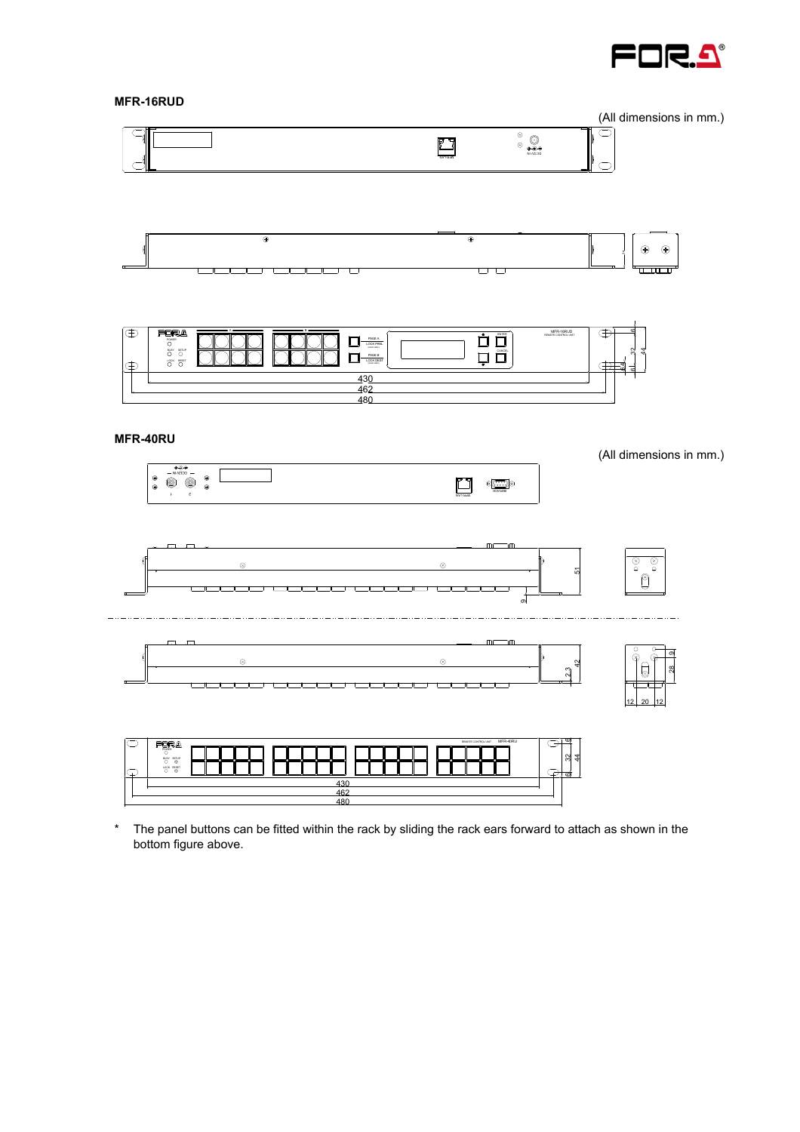



\* The panel buttons can be fitted within the rack by sliding the rack ears forward to attach as shown in the bottom figure above.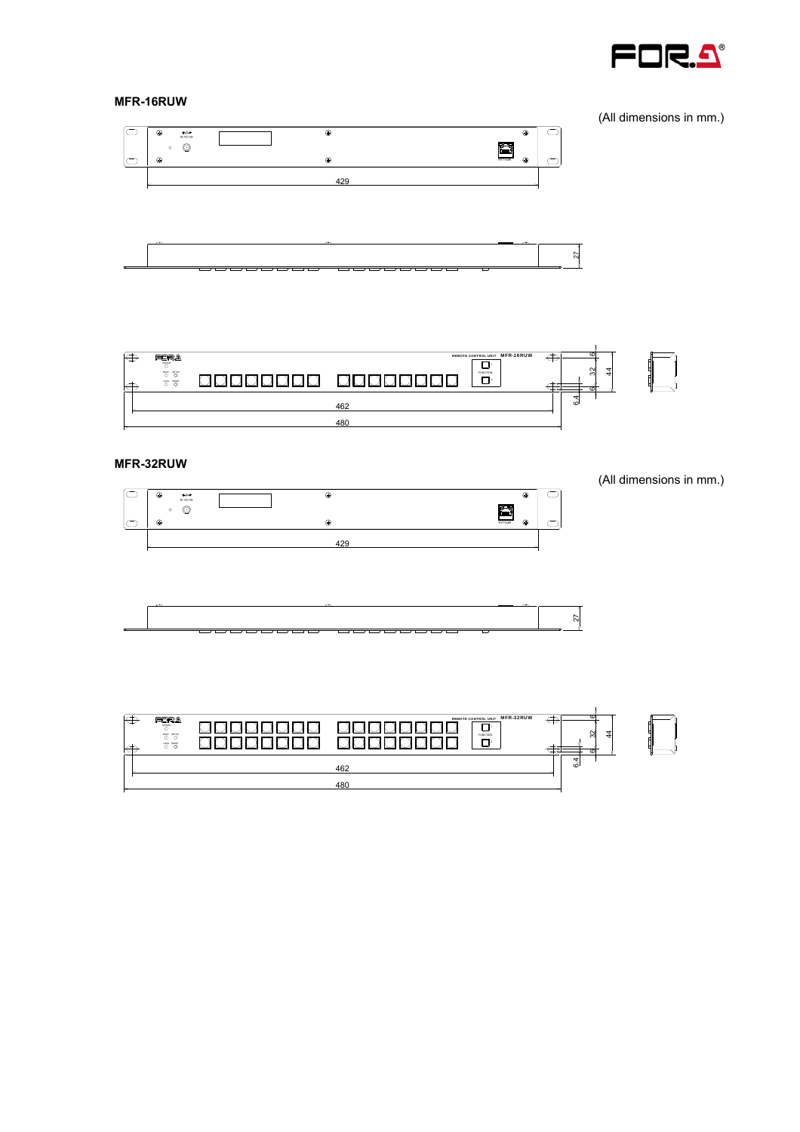

(All dimensions in mm.)

**MFR-16RUW** 





# **MFR-32RUW**



(All dimensions in mm.)

 $27$ 



480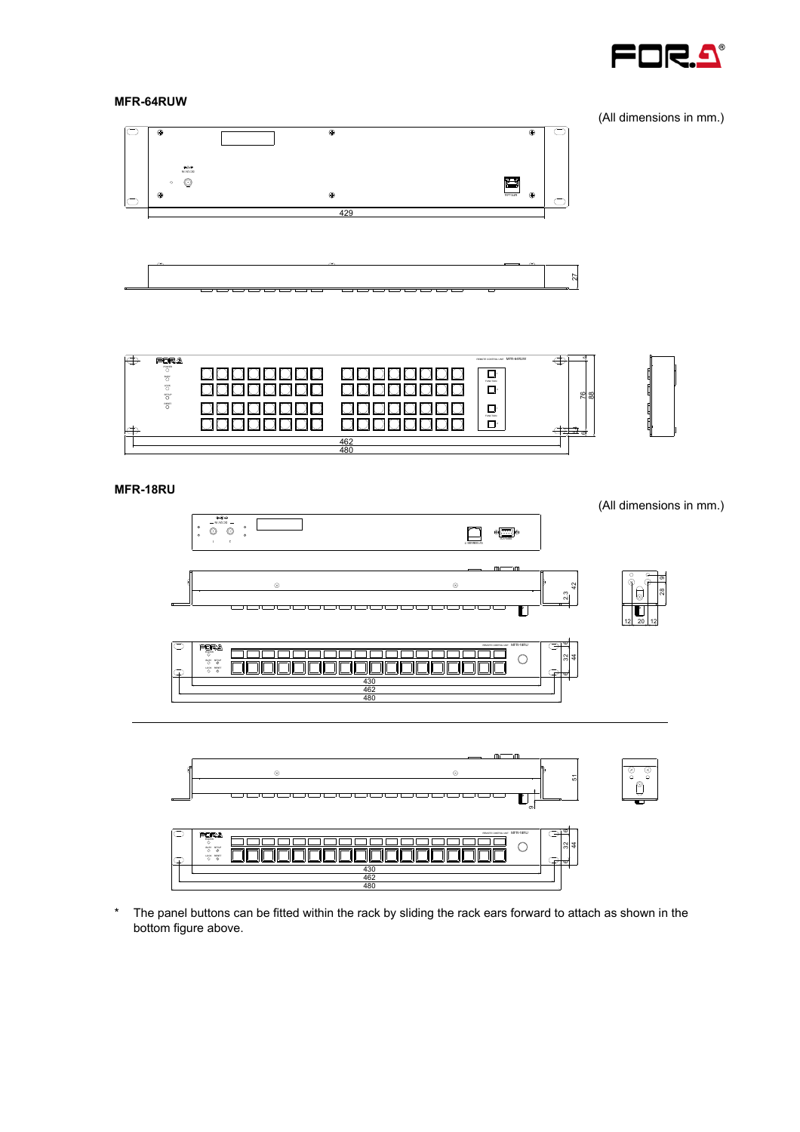

#### **MFR-64RUW**  (All dimensions in mm.) J  $\overline{\circ}$  $\overline{\circ}$  $\overline{\bullet}$  $\overline{\bigcirc}$  $\circ$ É  $\circledcirc$  $\hat{\mathfrak{S}}$  $\circ$ 429 27 ⊕  $\overline{\oplus}$ REMOTE CONTROL UNIT MFR-64RUW aaaaaaaa POWER<br>Busy 00000000  $\overline{\Box}$ FUNCTION<br>F<sub>il</sub>es 00000000 00000000 76 88 00000000 00000000  $\Box$ aaaaaaaa 00000000 ғисток<br>П  $\oplus$ 6.4 462 480 **MFR-18RU**  (All dimensions in mm.)  $\overline{\circ}$   $\overline{\circ}$  : ఇ  $\circ$   $\text{cm}$   $\circ$ 1 *z* 10/100BASE-T  $m \rightarrow m$ 28 9  $\odot$  $\circ$ 42 2.3  $\mathbb{D}$ 12 20 12 REMOTE CONTROL UNIT MFR-18RU POWER  $\circ$  $\approx$ 44 SETUP RESET 6430 462 480  $n$  and  $n$  $\begin{matrix} \circ & \circ \ \circ & \circ \end{matrix}$  $^{\circ}$ 51 ග  $\circ$ MFR-18RU owed  $\circ$ 32 44 SETUP RESET 00 I 00000000000000 ПIП 6430 462 480

\* The panel buttons can be fitted within the rack by sliding the rack ears forward to attach as shown in the bottom figure above.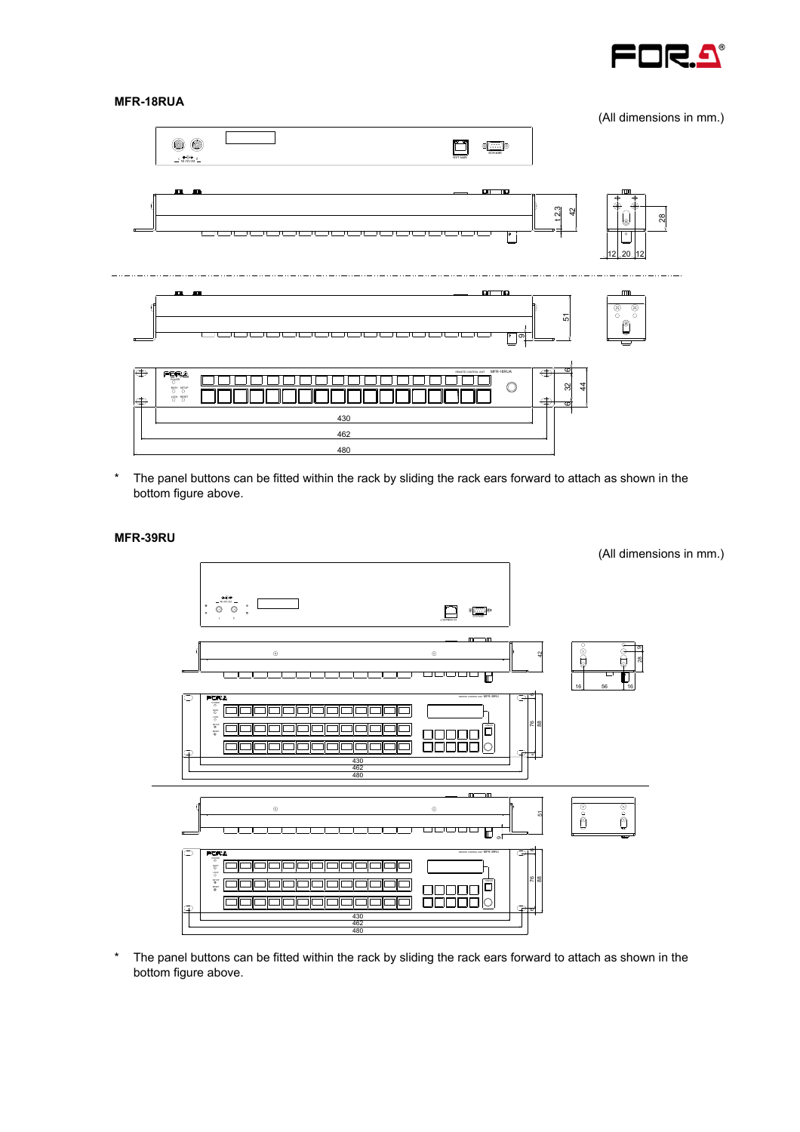

**MFR-18RUA** 



\* The panel buttons can be fitted within the rack by sliding the rack ears forward to attach as shown in the bottom figure above.

# **MFR-39RU**



The panel buttons can be fitted within the rack by sliding the rack ears forward to attach as shown in the bottom figure above.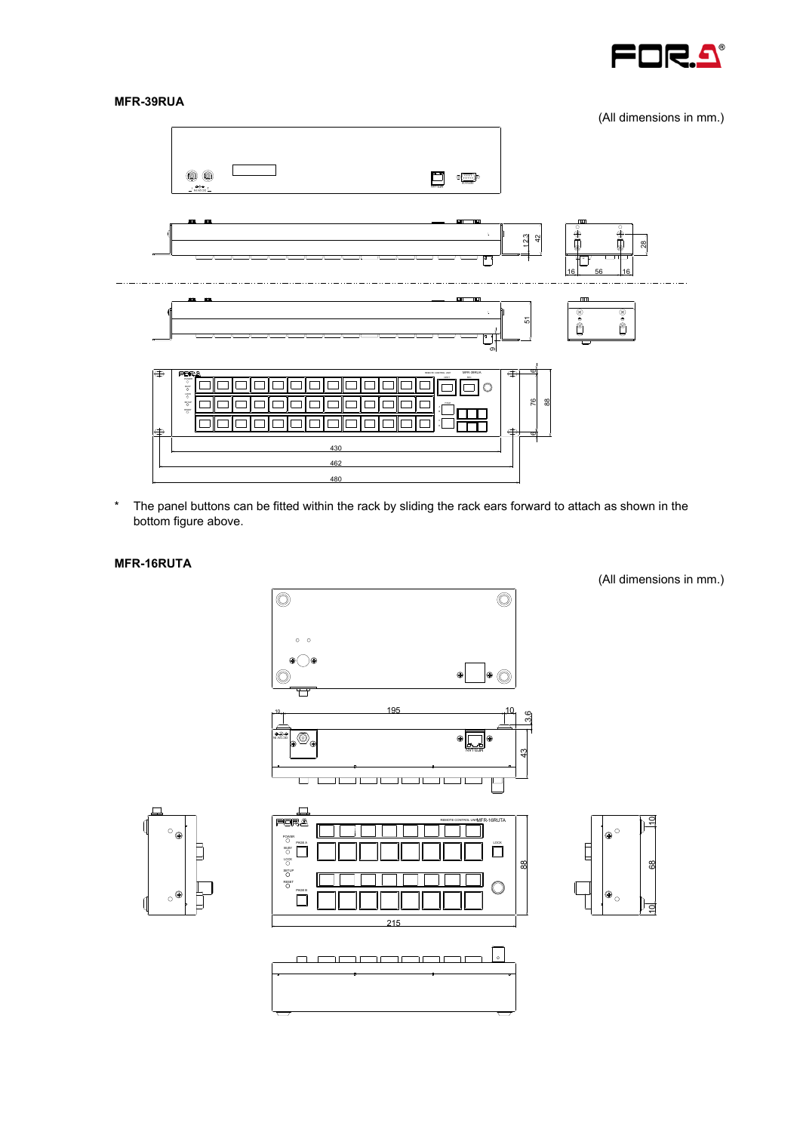



\* The panel buttons can be fitted within the rack by sliding the rack ears forward to attach as shown in the bottom figure above.

#### **MFR-16RUTA**